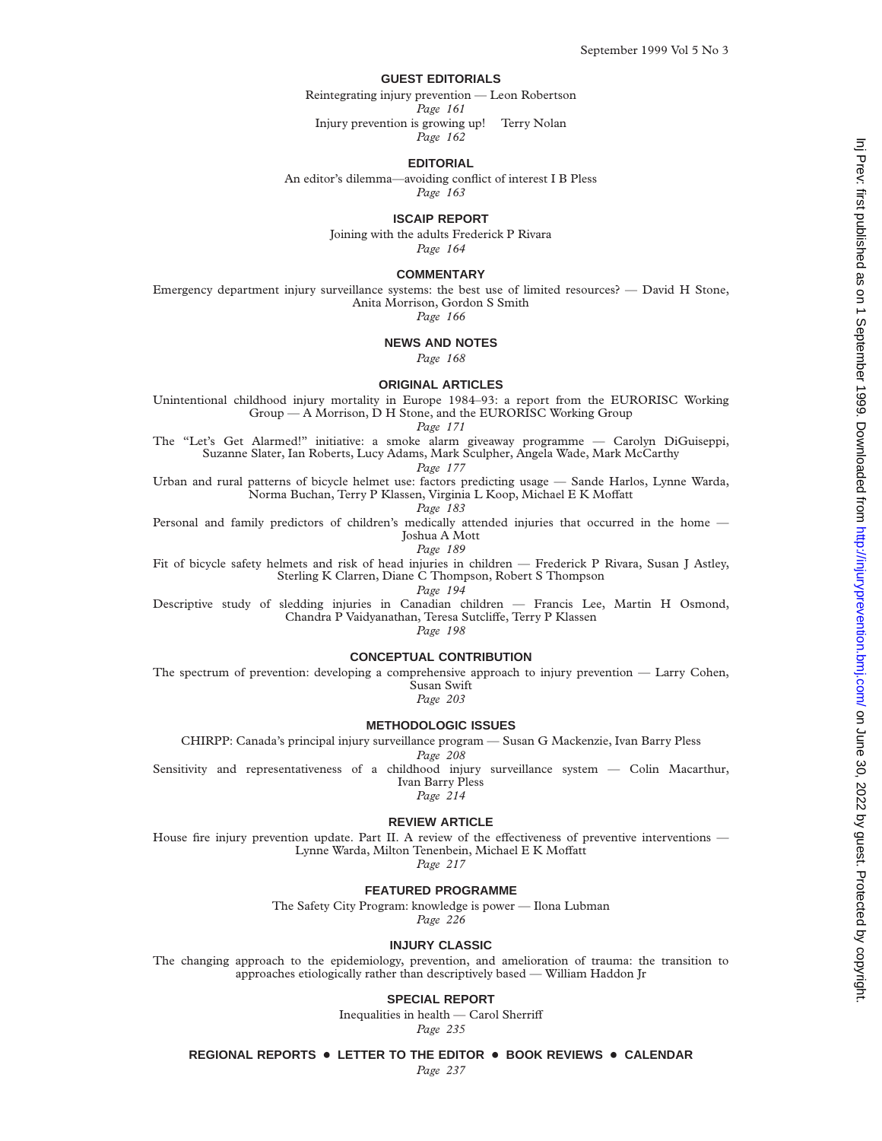## **GUEST EDITORIALS**

Reintegrating injury prevention — Leon Robertson Injury prevention is growing up! Terry Nolan

*Page 162*

**EDITORIAL**

An editor's dilemma—avoiding conflict of interest I B Pless

*Page 163*

### **ISCAIP REPORT**

Joining with the adults Frederick P Rivara *Page 164*

### **COMMENTARY**

Emergency department injury surveillance systems: the best use of limited resources? — David H Stone, Anita Morrison, Gordon S Smith

*Page 166*

# **NEWS AND NOTES**

*Page 168*

## **ORIGINAL ARTICLES**

Unintentional childhood injury mortality in Europe 1984–93: a report from the EURORISC Working Group — A Morrison, D H Stone, and the EURORISC Working Group

*Page 171* The "Let's Get Alarmed!" initiative: a smoke alarm giveaway programme — Carolyn DiGuiseppi, Suzanne Slater, Ian Roberts, Lucy Adams, Mark Sculpher, Angela Wade, Mark McCarthy

Urban and rural patterns of bicycle helmet use: factors predicting usage — Sande Harlos, Lynne Warda, Norma Buchan, Terry P Klassen, Virginia L Koop, Michael E K Moffatt

Personal and family predictors of children's medically attended injuries that occurred in the home — Joshua A Mott

Fit of bicycle safety helmets and risk of head injuries in children — Frederick P Rivara, Susan J Astley, Sterling K Clarren, Diane C Thompson, Robert S Thompson<br>  $Page 194$ 

*Page 194* Descriptive study of sledding injuries in Canadian children — Francis Lee, Martin H Osmond, Chandra P Vaidyanathan, Teresa Sutcliffe, Terry P Klassen

*Page 198*

# **CONCEPTUAL CONTRIBUTION**

The spectrum of prevention: developing a comprehensive approach to injury prevention — Larry Cohen, Susan Swift

*Page 203*

## **METHODOLOGIC ISSUES**

CHIRPP: Canada's principal injury surveillance program — Susan G Mackenzie, Ivan Barry Pless

*Page 208* Sensitivity and representativeness of a childhood injury surveillance system — Colin Macarthur, Ivan Barry Pless<br>Page 214

*Page 214*

# **REVIEW ARTICLE**

House fire injury prevention update. Part II. A review of the effectiveness of preventive interventions — Lynne Warda, Milton Tenenbein, Michael E K Moffatt

*Page 217*

### **FEATURED PROGRAMME**

The Safety City Program: knowledge is power — Ilona Lubman

*Page 226*

## **INJURY CLASSIC**

The changing approach to the epidemiology, prevention, and amelioration of trauma: the transition to approaches etiologically rather than descriptively based — William Haddon Jr

**SPECIAL REPORT**

Inequalities in health — Carol Sherriff

*Page 235*

**REGIONAL REPORTS** + **LETTER TO THE EDITOR** + **BOOK REVIEWS** + **CALENDAR**

*Page 237*